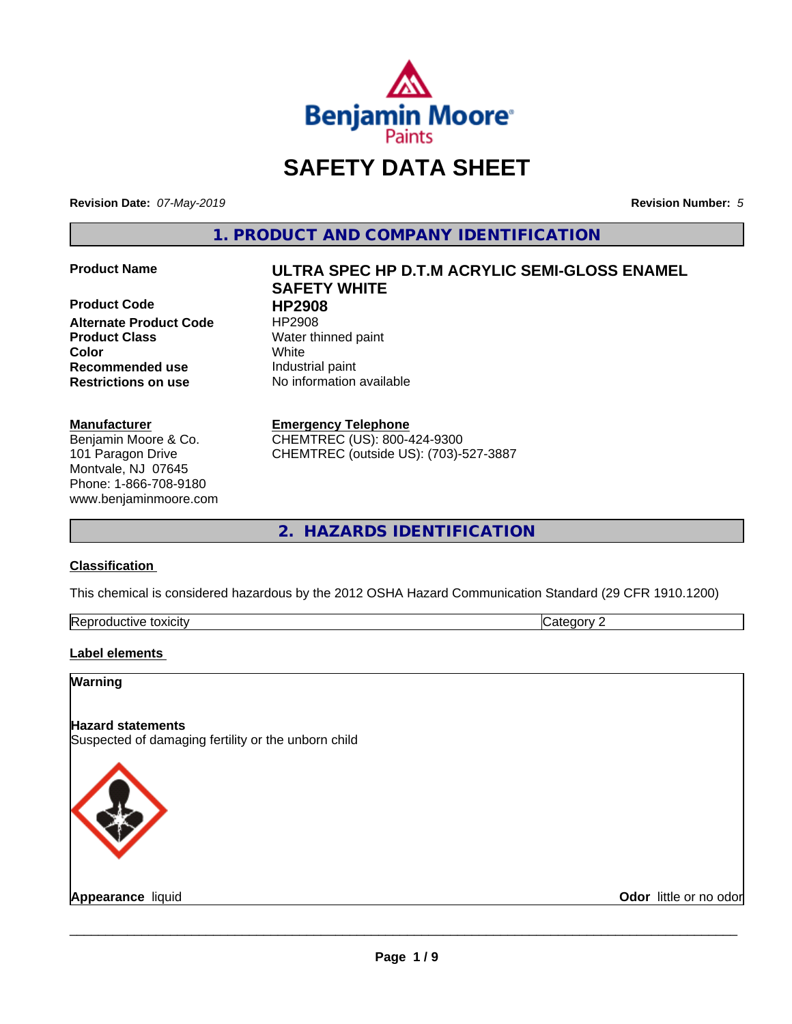

# **SAFETY DATA SHEET**

**Revision Date:** *07-May-2019* **Revision Number:** *5*

**1. PRODUCT AND COMPANY IDENTIFICATION**

**Product Code HP2908 Alternate Product Code** HP2908 **Product Class** Water thinned paint **Recommended use** Industrial paint **Restrictions on use** No information available

#### **Manufacturer**

Benjamin Moore & Co. 101 Paragon Drive Montvale, NJ 07645 Phone: 1-866-708-9180 www.benjaminmoore.com

# **Product Name ULTRA SPEC HP D.T.M ACRYLIC SEMI-GLOSS ENAMEL SAFETY WHITE Color** White

#### **Emergency Telephone**

CHEMTREC (US): 800-424-9300 CHEMTREC (outside US): (703)-527-3887

**2. HAZARDS IDENTIFICATION**

### **Classification**

This chemical is considered hazardous by the 2012 OSHA Hazard Communication Standard (29 CFR 1910.1200)

| toxicity<br>Repr.<br>oductive | ĸ<br>-- - --<br>.ат<br>ιr<br>7. J. |
|-------------------------------|------------------------------------|

#### **Label elements**

### **Warning**

# **Hazard statements**

Suspected of damaging fertility or the unborn child



**Appearance** liquid **Contract Contract Contract Contract Contract Contract Contract Contract Contract Contract Contract Contract Contract Contract Contract Contract Contract Contract Contract Contract Contract Contract Con**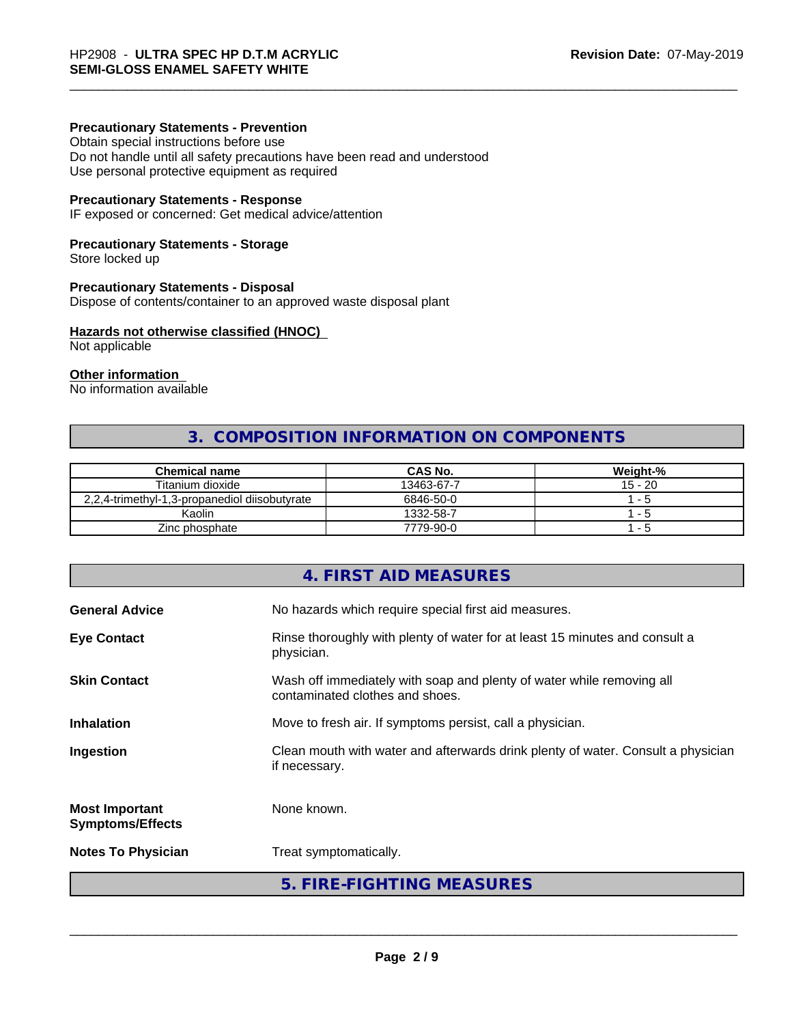#### **Precautionary Statements - Prevention**

Obtain special instructions before use Do not handle until all safety precautions have been read and understood Use personal protective equipment as required

#### **Precautionary Statements - Response**

IF exposed or concerned: Get medical advice/attention

#### **Precautionary Statements - Storage**

Store locked up

#### **Precautionary Statements - Disposal**

Dispose of contents/container to an approved waste disposal plant

#### **Hazards not otherwise classified (HNOC)**

Not applicable

#### **Other information**

No information available

# **3. COMPOSITION INFORMATION ON COMPONENTS**

| <b>Chemical name</b>                          | <b>CAS No.</b> | Weight-%  |
|-----------------------------------------------|----------------|-----------|
| Titanium dioxide                              | 13463-67-7     | $15 - 20$ |
| 2.2.4-trimethyl-1.3-propanediol diisobutyrate | 6846-50-0      | .         |
| Kaolin                                        | 1332-58-7      | $-5$      |
| Zinc phosphate                                | 7779-90-0      | - 5       |

# **4. FIRST AID MEASURES General Advice** No hazards which require special first aid measures. **Eye Contact Rinse thoroughly with plenty of water for at least 15 minutes and consult a** physician. **Skin Contact** Wash off immediately with soap and plenty of water while removing all contaminated clothes and shoes. **Inhalation** Move to fresh air. If symptoms persist, call a physician. **Ingestion Example 2** Clean mouth with water and afterwards drink plenty of water. Consult a physician if necessary. **Most Important Symptoms/Effects** None known. **Notes To Physician** Treat symptomatically. **5. FIRE-FIGHTING MEASURES**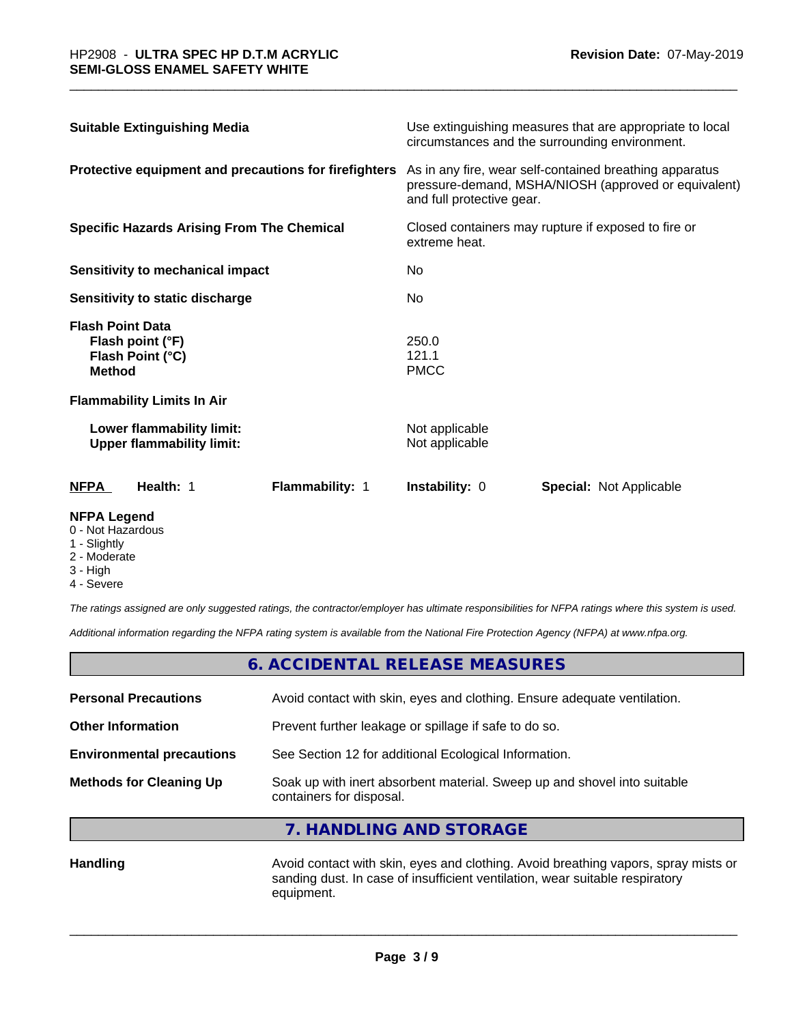| <b>Suitable Extinguishing Media</b>                                              | Use extinguishing measures that are appropriate to local<br>circumstances and the surrounding environment.                                   |  |  |
|----------------------------------------------------------------------------------|----------------------------------------------------------------------------------------------------------------------------------------------|--|--|
| Protective equipment and precautions for firefighters                            | As in any fire, wear self-contained breathing apparatus<br>pressure-demand, MSHA/NIOSH (approved or equivalent)<br>and full protective gear. |  |  |
| <b>Specific Hazards Arising From The Chemical</b>                                | Closed containers may rupture if exposed to fire or<br>extreme heat.                                                                         |  |  |
| <b>Sensitivity to mechanical impact</b>                                          | No                                                                                                                                           |  |  |
| Sensitivity to static discharge                                                  | No.                                                                                                                                          |  |  |
| <b>Flash Point Data</b><br>Flash point (°F)<br>Flash Point (°C)<br><b>Method</b> | 250.0<br>121.1<br><b>PMCC</b>                                                                                                                |  |  |
| <b>Flammability Limits In Air</b>                                                |                                                                                                                                              |  |  |
| Lower flammability limit:<br><b>Upper flammability limit:</b>                    | Not applicable<br>Not applicable                                                                                                             |  |  |
| <b>NFPA</b><br>Health: 1<br>Flammability: 1                                      | <b>Instability: 0</b><br><b>Special: Not Applicable</b>                                                                                      |  |  |

#### **NFPA Legend**

- 0 Not Hazardous
- 1 Slightly
- 2 Moderate
- 3 High
- 4 Severe

*The ratings assigned are only suggested ratings, the contractor/employer has ultimate responsibilities for NFPA ratings where this system is used.*

*Additional information regarding the NFPA rating system is available from the National Fire Protection Agency (NFPA) at www.nfpa.org.*

|                                  | 6. ACCIDENTAL RELEASE MEASURES                                                                       |  |
|----------------------------------|------------------------------------------------------------------------------------------------------|--|
| <b>Personal Precautions</b>      | Avoid contact with skin, eyes and clothing. Ensure adequate ventilation.                             |  |
| <b>Other Information</b>         | Prevent further leakage or spillage if safe to do so.                                                |  |
| <b>Environmental precautions</b> | See Section 12 for additional Ecological Information.                                                |  |
| <b>Methods for Cleaning Up</b>   | Soak up with inert absorbent material. Sweep up and shovel into suitable<br>containers for disposal. |  |

**7. HANDLING AND STORAGE**

Handling **Handling Avoid contact with skin, eyes and clothing. Avoid breathing vapors, spray mists or** sanding dust. In case of insufficient ventilation, wear suitable respiratory equipment.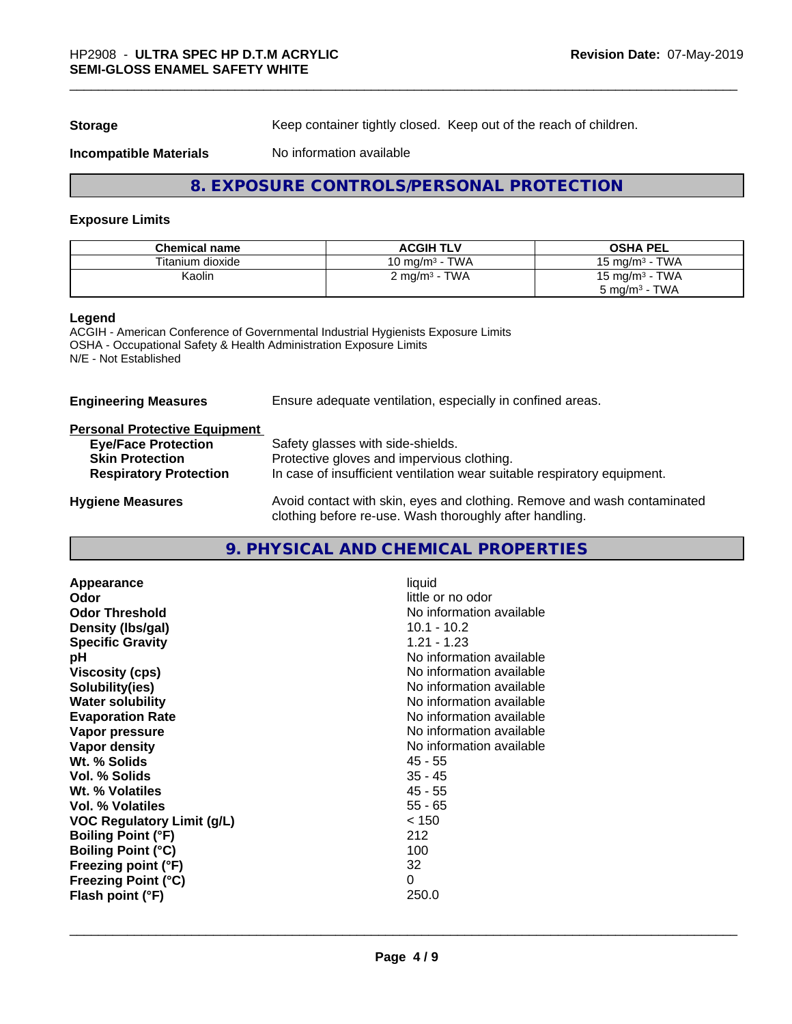**Storage** Keep container tightly closed. Keep out of the reach of children.

#### **Incompatible Materials** No information available

### **8. EXPOSURE CONTROLS/PERSONAL PROTECTION**

#### **Exposure Limits**

| <b>Chemical name</b> | <b>ACGIH TLV</b>                           | <b>OSHA PEL</b>                       |
|----------------------|--------------------------------------------|---------------------------------------|
| Titanium dioxide     | <b>TWA</b><br>10 mg/m $^3$ -               | <b>TWA</b><br>15 mg/m $3$             |
| Kaolin               | TWA<br>$\angle$ mg/m <sup>3</sup> - $\sim$ | · TWA<br>15 mg/m <sup>3</sup> $\cdot$ |
|                      |                                            | TWA<br>5 mg/m <sup>3</sup> -          |

#### **Legend**

ACGIH - American Conference of Governmental Industrial Hygienists Exposure Limits OSHA - Occupational Safety & Health Administration Exposure Limits N/E - Not Established

| <b>Engineering Measures</b>          | Ensure adequate ventilation, especially in confined areas.                                                                          |  |  |
|--------------------------------------|-------------------------------------------------------------------------------------------------------------------------------------|--|--|
| <b>Personal Protective Equipment</b> |                                                                                                                                     |  |  |
| <b>Eye/Face Protection</b>           | Safety glasses with side-shields.                                                                                                   |  |  |
| <b>Skin Protection</b>               | Protective gloves and impervious clothing.                                                                                          |  |  |
| <b>Respiratory Protection</b>        | In case of insufficient ventilation wear suitable respiratory equipment.                                                            |  |  |
| <b>Hygiene Measures</b>              | Avoid contact with skin, eyes and clothing. Remove and wash contaminated<br>clothing before re-use. Wash thoroughly after handling. |  |  |

# **9. PHYSICAL AND CHEMICAL PROPERTIES**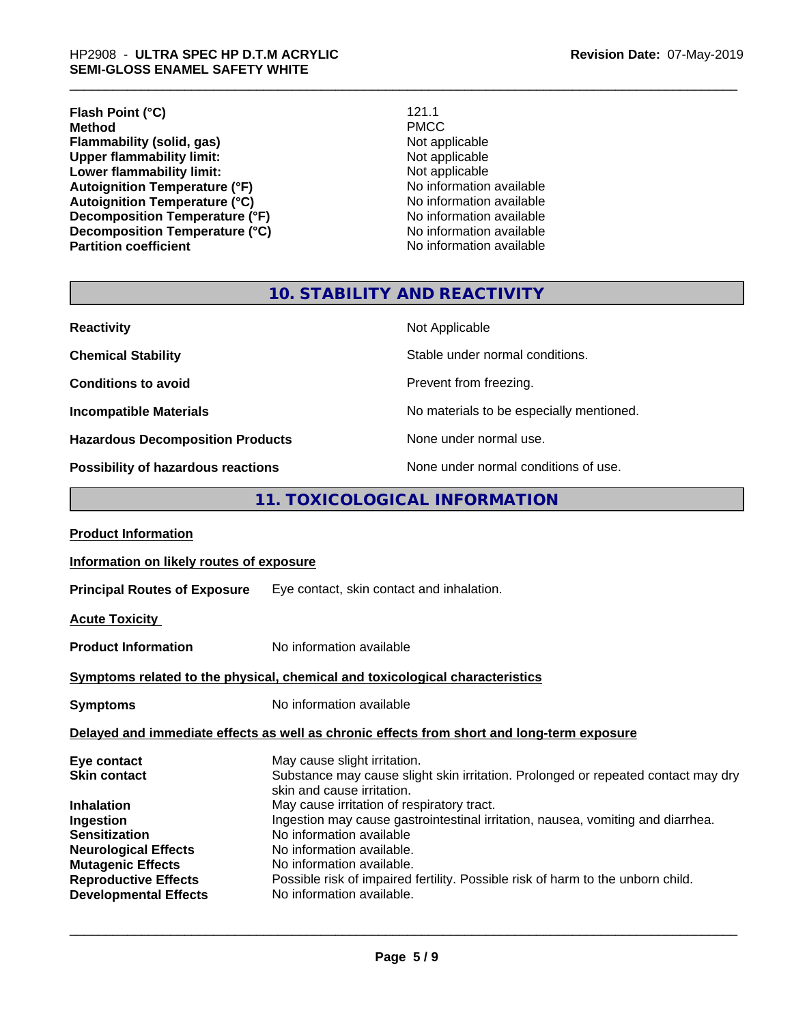# \_\_\_\_\_\_\_\_\_\_\_\_\_\_\_\_\_\_\_\_\_\_\_\_\_\_\_\_\_\_\_\_\_\_\_\_\_\_\_\_\_\_\_\_\_\_\_\_\_\_\_\_\_\_\_\_\_\_\_\_\_\_\_\_\_\_\_\_\_\_\_\_\_\_\_\_\_\_\_\_\_\_\_\_\_\_\_\_\_\_\_\_\_ HP2908 - **ULTRA SPEC HP D.T.M ACRYLIC SEMI-GLOSS ENAMEL SAFETY WHITE**

**Flash Point (°C)** 121.1<br> **Method** PMCC **Method** PMCC **Flammability (solid, gas)**<br> **Contains Upper flammability limit:**<br>
Upper flammability limit:<br>
Not applicable **Upper flammability limit:**<br> **Lower flammability limit:**<br>
Not applicable<br>
Not applicable **Lower flammability limit:**<br> **Autoignition Temperature (°F)**<br>
Mo information available **Autoignition Temperature (°F)**<br> **Autoignition Temperature (°C)** 
<br> **Autoignition Temperature (°C)** 
<br> **Autoignition Temperature (°C) Autoignition Temperature (°C)**<br> **Decomposition Temperature (°F)** No information available **Decomposition Temperature (°F)**<br> **Decomposition Temperature (°C)**<br>
No information available **Decomposition Temperature (°C) Partition coefficient Contract Contract Contract Contract Contract Contract Contract Contract Contract Contract Contract Contract Contract Contract Contract Contract Contract Contract Contract Contract Contract Contract** 

# **10. STABILITY AND REACTIVITY**

| <b>Reactivity</b>                       | Not Applicable                           |
|-----------------------------------------|------------------------------------------|
| <b>Chemical Stability</b>               | Stable under normal conditions.          |
| <b>Conditions to avoid</b>              | Prevent from freezing.                   |
| <b>Incompatible Materials</b>           | No materials to be especially mentioned. |
| <b>Hazardous Decomposition Products</b> | None under normal use.                   |
| Possibility of hazardous reactions      | None under normal conditions of use.     |

## **11. TOXICOLOGICAL INFORMATION**

| Information on likely routes of exposure                                                                                                                                                                                                                                                                                                                                                                                                                                               |  |  |
|----------------------------------------------------------------------------------------------------------------------------------------------------------------------------------------------------------------------------------------------------------------------------------------------------------------------------------------------------------------------------------------------------------------------------------------------------------------------------------------|--|--|
| <b>Principal Routes of Exposure</b> Eye contact, skin contact and inhalation.                                                                                                                                                                                                                                                                                                                                                                                                          |  |  |
|                                                                                                                                                                                                                                                                                                                                                                                                                                                                                        |  |  |
| No information available                                                                                                                                                                                                                                                                                                                                                                                                                                                               |  |  |
| Symptoms related to the physical, chemical and toxicological characteristics                                                                                                                                                                                                                                                                                                                                                                                                           |  |  |
| No information available                                                                                                                                                                                                                                                                                                                                                                                                                                                               |  |  |
| Delayed and immediate effects as well as chronic effects from short and long-term exposure                                                                                                                                                                                                                                                                                                                                                                                             |  |  |
| May cause slight irritation.<br>Substance may cause slight skin irritation. Prolonged or repeated contact may dry<br>skin and cause irritation.<br>May cause irritation of respiratory tract.<br>Ingestion may cause gastrointestinal irritation, nausea, vomiting and diarrhea.<br>No information available<br>No information available.<br>No information available.<br>Possible risk of impaired fertility. Possible risk of harm to the unborn child.<br>No information available. |  |  |
|                                                                                                                                                                                                                                                                                                                                                                                                                                                                                        |  |  |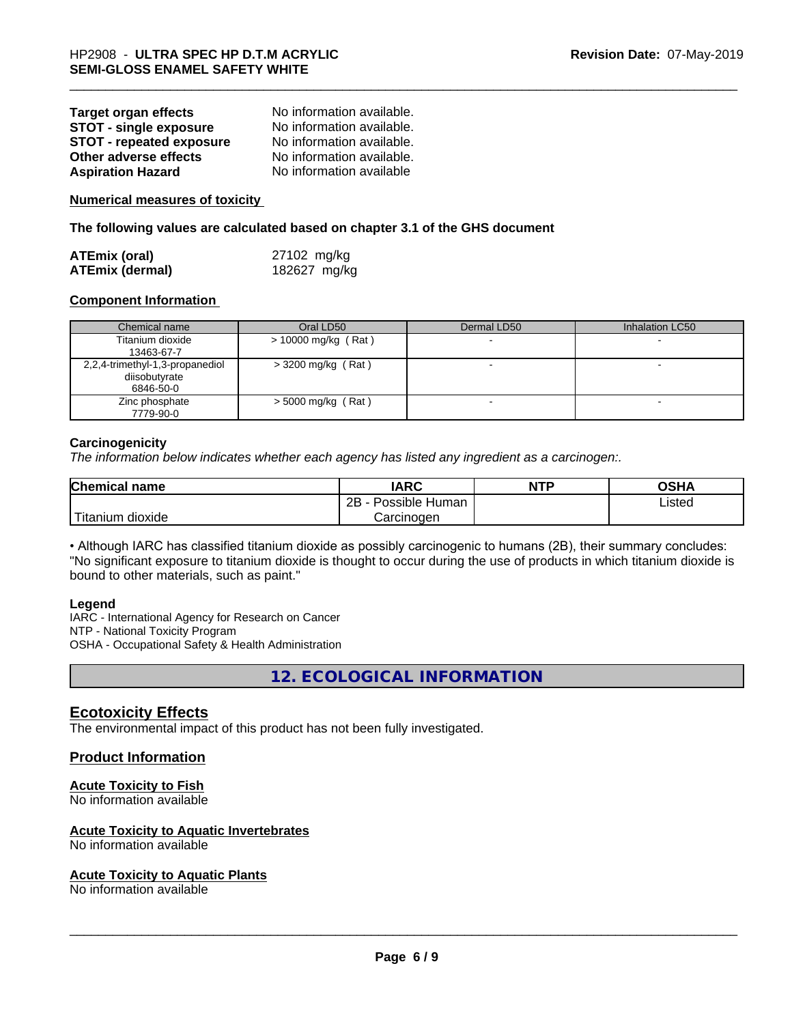| <b>Target organ effects</b>     | No information available. |
|---------------------------------|---------------------------|
| <b>STOT - single exposure</b>   | No information available. |
| <b>STOT - repeated exposure</b> | No information available. |
| Other adverse effects           | No information available. |
| <b>Aspiration Hazard</b>        | No information available  |

**Numerical measures of toxicity**

**The following values are calculated based on chapter 3.1 of the GHS document**

| <b>ATEmix (oral)</b>   | 27102 mg/kg  |
|------------------------|--------------|
| <b>ATEmix (dermal)</b> | 182627 mg/kg |

#### **Component Information**

| Chemical name                                                 | Oral LD50            | Dermal LD50 | Inhalation LC50 |
|---------------------------------------------------------------|----------------------|-------------|-----------------|
| Titanium dioxide<br>13463-67-7                                | > 10000 mg/kg (Rat)  |             |                 |
| 2,2,4-trimethyl-1,3-propanediol<br>diisobutyrate<br>6846-50-0 | $>$ 3200 mg/kg (Rat) |             |                 |
| Zinc phosphate<br>7779-90-0                                   | $>$ 5000 mg/kg (Rat) |             |                 |

#### **Carcinogenicity**

*The information below indicateswhether each agency has listed any ingredient as a carcinogen:.*

| Chemical<br>name       | <b>IARC</b>                  | <b>NTP</b> | <b>OSHA</b> |
|------------------------|------------------------------|------------|-------------|
|                        | .<br>2B<br>Possible<br>Human |            | Listed      |
| ı dioxide<br>l itanıum | Carcinogen                   |            |             |

• Although IARC has classified titanium dioxide as possibly carcinogenic to humans (2B), their summary concludes: "No significant exposure to titanium dioxide is thought to occur during the use of products in which titanium dioxide is bound to other materials, such as paint."

#### **Legend**

IARC - International Agency for Research on Cancer NTP - National Toxicity Program OSHA - Occupational Safety & Health Administration

**12. ECOLOGICAL INFORMATION**

### **Ecotoxicity Effects**

The environmental impact of this product has not been fully investigated.

#### **Product Information**

#### **Acute Toxicity to Fish**

No information available

#### **Acute Toxicity to Aquatic Invertebrates**

No information available

#### **Acute Toxicity to Aquatic Plants**

No information available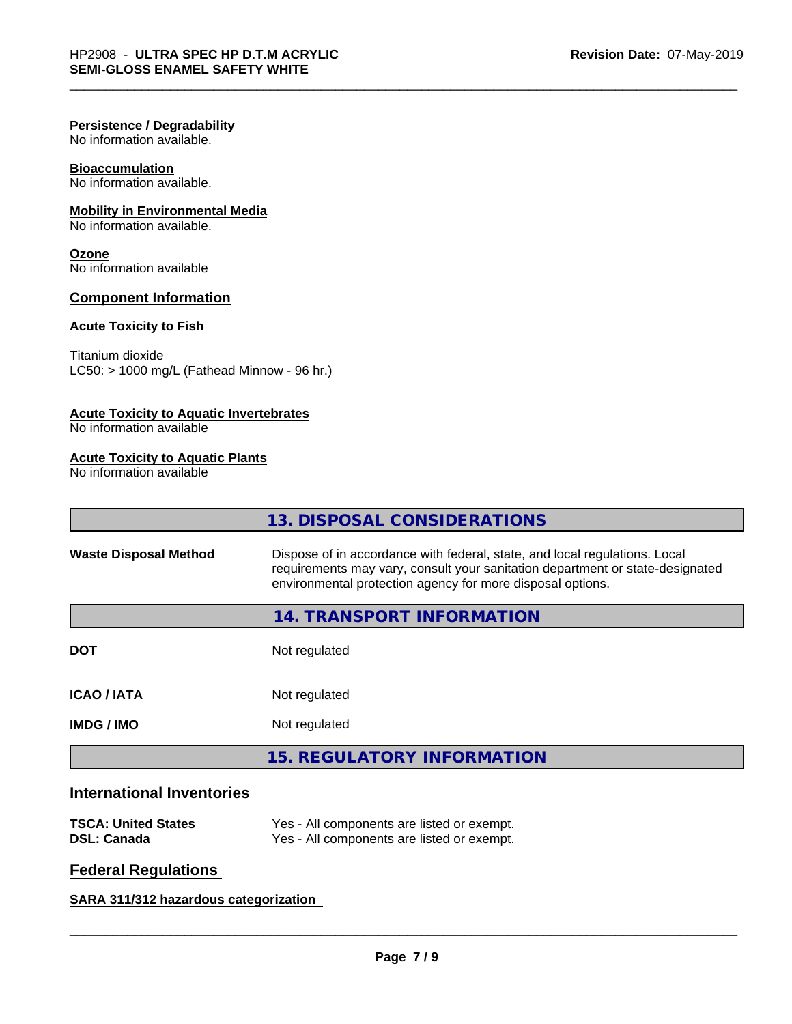#### **Persistence / Degradability**

No information available.

## **Bioaccumulation**

No information available.

### **Mobility in Environmental Media**

No information available.

#### **Ozone**

No information available

#### **Component Information**

#### **Acute Toxicity to Fish**

Titanium dioxide  $LC50: > 1000$  mg/L (Fathead Minnow - 96 hr.)

#### **Acute Toxicity to Aquatic Invertebrates**

No information available

#### **Acute Toxicity to Aquatic Plants**

No information available

|                              | 13. DISPOSAL CONSIDERATIONS                                                                                                                                                                                               |  |
|------------------------------|---------------------------------------------------------------------------------------------------------------------------------------------------------------------------------------------------------------------------|--|
| <b>Waste Disposal Method</b> | Dispose of in accordance with federal, state, and local regulations. Local<br>requirements may vary, consult your sanitation department or state-designated<br>environmental protection agency for more disposal options. |  |
|                              | 14. TRANSPORT INFORMATION                                                                                                                                                                                                 |  |
| <b>DOT</b>                   | Not regulated                                                                                                                                                                                                             |  |
| <b>ICAO/IATA</b>             | Not regulated                                                                                                                                                                                                             |  |
| <b>IMDG/IMO</b>              | Not regulated                                                                                                                                                                                                             |  |
|                              | <b>15. REGULATORY INFORMATION</b>                                                                                                                                                                                         |  |

# **International Inventories**

| <b>TSCA: United States</b> | Yes - All components are listed or exempt. |
|----------------------------|--------------------------------------------|
| <b>DSL: Canada</b>         | Yes - All components are listed or exempt. |

## **Federal Regulations**

**SARA 311/312 hazardous categorization**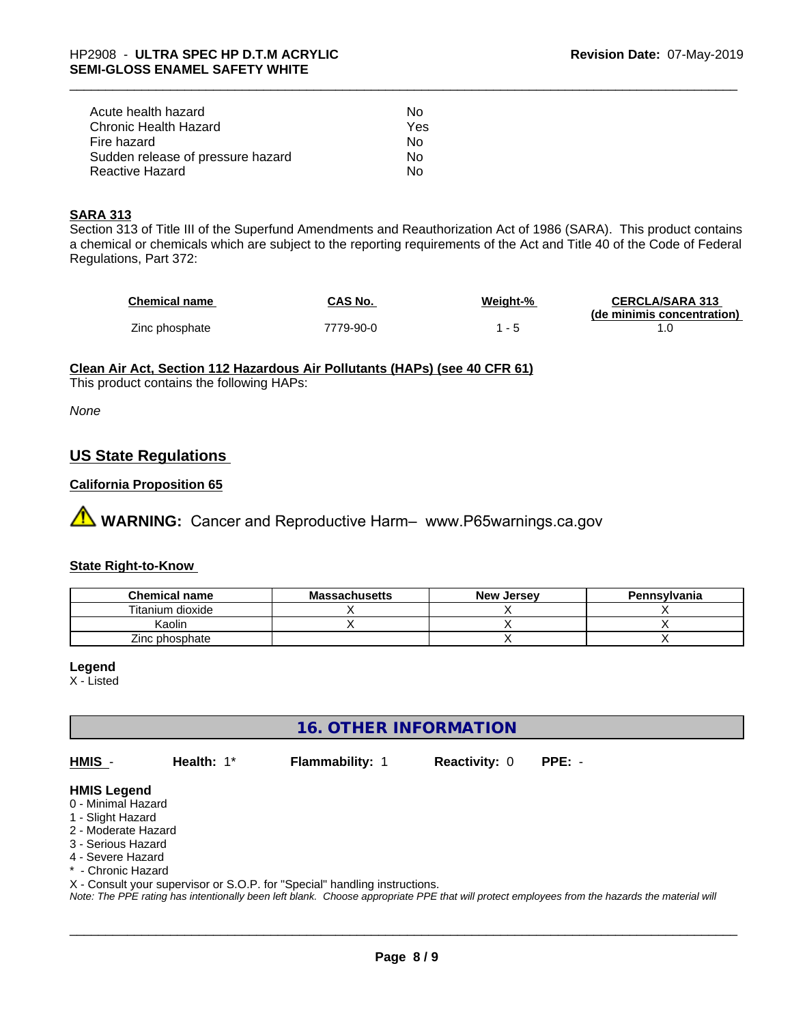| Acute health hazard               | Nο  |
|-----------------------------------|-----|
| Chronic Health Hazard             | Yes |
| Fire hazard                       | Nο  |
| Sudden release of pressure hazard | N٥  |
| Reactive Hazard                   | N٥  |

#### **SARA 313**

Section 313 of Title III of the Superfund Amendments and Reauthorization Act of 1986 (SARA). This product contains a chemical or chemicals which are subject to the reporting requirements of the Act and Title 40 of the Code of Federal Regulations, Part 372:

| <b>Chemical name</b> | CAS No.   | Weight-%                 | <b>CERCLA/SARA 313</b>     |
|----------------------|-----------|--------------------------|----------------------------|
|                      |           |                          | (de minimis concentration) |
| Zinc phosphate       | 7779-90-0 | $\overline{\phantom{0}}$ |                            |

### **Clean Air Act,Section 112 Hazardous Air Pollutants (HAPs) (see 40 CFR 61)**

This product contains the following HAPs:

*None*

## **US State Regulations**

#### **California Proposition 65**

**A** WARNING: Cancer and Reproductive Harm– www.P65warnings.ca.gov

#### **State Right-to-Know**

| <b>Chemical name</b> | <b>Massachusetts</b> | <b>New Jersey</b> | Pennsylvania |
|----------------------|----------------------|-------------------|--------------|
| Titanium dioxide     |                      |                   |              |
| Kaolin               |                      |                   |              |
| Zinc phosphate       |                      |                   |              |

#### **Legend**

X - Listed

# **16. OTHER INFORMATION**

**HMIS** - **Health:** 1\* **Flammability:** 1 **Reactivity:** 0 **PPE:** -

#### **HMIS Legend**

- 0 Minimal Hazard
- 1 Slight Hazard
- 2 Moderate Hazard
- 3 Serious Hazard
- 4 Severe Hazard
- \* Chronic Hazard

X - Consult your supervisor or S.O.P. for "Special" handling instructions.

*Note: The PPE rating has intentionally been left blank. Choose appropriate PPE that will protect employees from the hazards the material will*